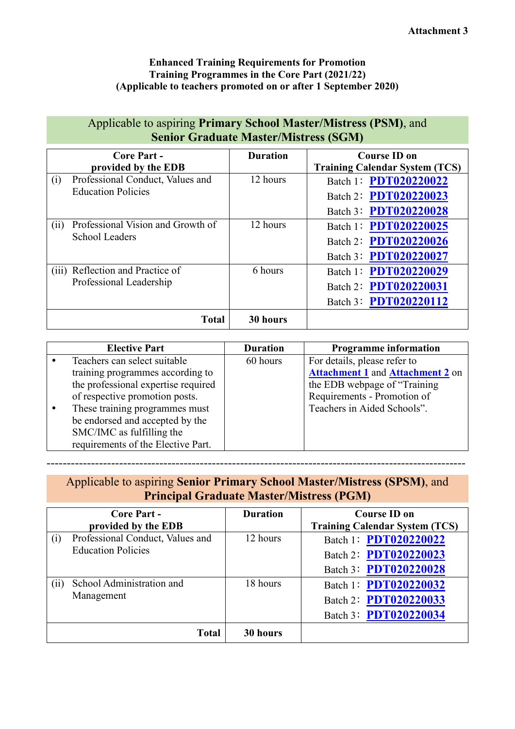## **Enhanced Training Requirements for Promotion Training Programmes in the Core Part (2021/22) (Applicable to teachers promoted on or after 1 September 2020)**

| Applicable to aspiring Primary School Master/Mistress (PSM), and<br><b>Senior Graduate Master/Mistress (SGM)</b> |                          |                                                                         |  |
|------------------------------------------------------------------------------------------------------------------|--------------------------|-------------------------------------------------------------------------|--|
| <b>Core Part -</b><br>provided by the EDB                                                                        | <b>Duration</b>          | <b>Course ID on</b><br><b>Training Calendar System (TCS)</b>            |  |
| Professional Conduct, Values and<br>(i)<br><b>Education Policies</b>                                             | 12 hours                 | Batch 1: PDT020220022<br>Batch 2: PDT020220023<br>Batch 3: PDT020220028 |  |
| Professional Vision and Growth of<br>(ii)<br><b>School Leaders</b>                                               | 12 hours                 | Batch 1: PDT020220025<br>Batch 2: PDT020220026<br>Batch 3: PDT020220027 |  |
| (iii) Reflection and Practice of<br>Professional Leadership                                                      | 6 hours                  | Batch 1: PDT020220029<br>Batch 2: PDT020220031<br>Batch 3: PDT020220112 |  |
|                                                                                                                  | <b>Total</b><br>30 hours |                                                                         |  |

| <b>Elective Part</b>                | <b>Duration</b> | <b>Programme information</b>            |
|-------------------------------------|-----------------|-----------------------------------------|
| Teachers can select suitable        | 60 hours        | For details, please refer to            |
| training programmes according to    |                 | <b>Attachment 1 and Attachment 2 on</b> |
| the professional expertise required |                 | the EDB webpage of "Training"           |
| of respective promotion posts.      |                 | Requirements - Promotion of             |
| These training programmes must      |                 | Teachers in Aided Schools".             |
| be endorsed and accepted by the     |                 |                                         |
| SMC/IMC as fulfilling the           |                 |                                         |
| requirements of the Elective Part.  |                 |                                         |

## Applicable to aspiring **Senior Primary School Master/Mistress (SPSM)**, and **Principal Graduate Master/Mistress (PGM)**

--------------------------------------------------------------------------------------------------------

|                           | <b>Core Part -</b><br>provided by the EDB | <b>Duration</b> | <b>Course ID on</b><br><b>Training Calendar System (TCS)</b> |
|---------------------------|-------------------------------------------|-----------------|--------------------------------------------------------------|
| (i)                       | Professional Conduct, Values and          | 12 hours        | Batch 1: PDT020220022                                        |
| <b>Education Policies</b> |                                           |                 | Batch 2: PDT020220023                                        |
|                           |                                           |                 | Batch 3: PDT020220028                                        |
| $\overline{(11)}$         | School Administration and                 | 18 hours        | Batch 1: PDT020220032                                        |
|                           | Management                                |                 | Batch 2: PDT020220033                                        |
|                           |                                           |                 | Batch 3: PDT020220034                                        |
|                           | <b>Total</b>                              | 30 hours        |                                                              |